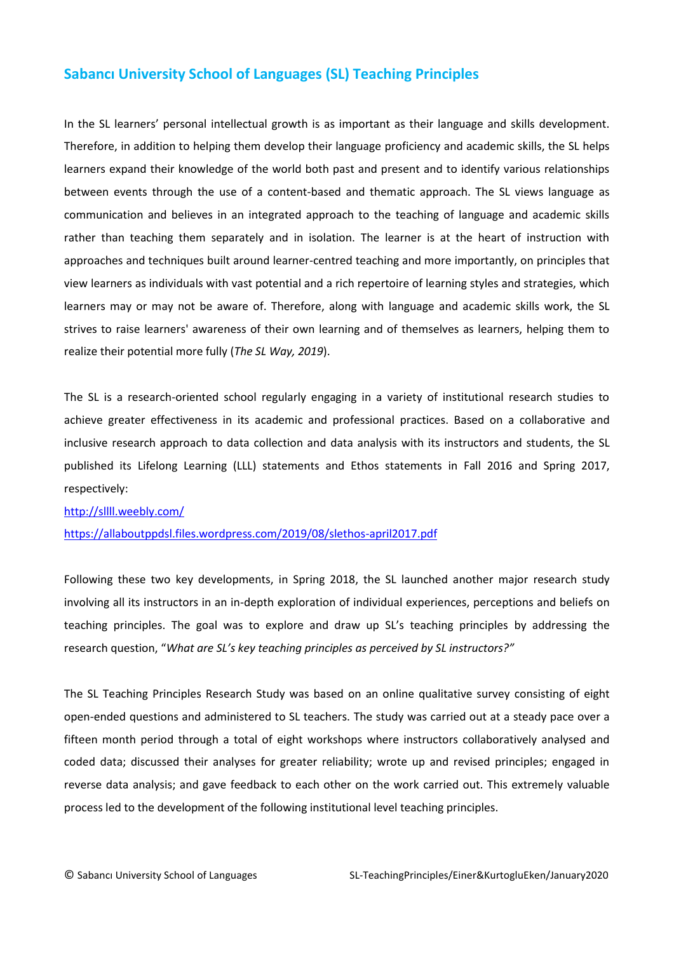## **Sabancı University School of Languages (SL) Teaching Principles**

In the SL learners' personal intellectual growth is as important as their language and skills development. Therefore, in addition to helping them develop their language proficiency and academic skills, the SL helps learners expand their knowledge of the world both past and present and to identify various relationships between events through the use of a content-based and thematic approach. The SL views language as communication and believes in an integrated approach to the teaching of language and academic skills rather than teaching them separately and in isolation. The learner is at the heart of instruction with approaches and techniques built around learner-centred teaching and more importantly, on principles that view learners as individuals with vast potential and a rich repertoire of learning styles and strategies, which learners may or may not be aware of. Therefore, along with language and academic skills work, the SL strives to raise learners' awareness of their own learning and of themselves as learners, helping them to realize their potential more fully (*The SL Way, 2019*).

The SL is a research-oriented school regularly engaging in a variety of institutional research studies to achieve greater effectiveness in its academic and professional practices. Based on a collaborative and inclusive research approach to data collection and data analysis with its instructors and students, the SL published its Lifelong Learning (LLL) statements and Ethos statements in Fall 2016 and Spring 2017, respectively:

#### <http://sllll.weebly.com/>

<https://allaboutppdsl.files.wordpress.com/2019/08/slethos-april2017.pdf>

Following these two key developments, in Spring 2018, the SL launched another major research study involving all its instructors in an in-depth exploration of individual experiences, perceptions and beliefs on teaching principles. The goal was to explore and draw up SL's teaching principles by addressing the research question, "*What are SL's key teaching principles as perceived by SL instructors?"*

The SL Teaching Principles Research Study was based on an online qualitative survey consisting of eight open-ended questions and administered to SL teachers. The study was carried out at a steady pace over a fifteen month period through a total of eight workshops where instructors collaboratively analysed and coded data; discussed their analyses for greater reliability; wrote up and revised principles; engaged in reverse data analysis; and gave feedback to each other on the work carried out. This extremely valuable process led to the development of the following institutional level teaching principles.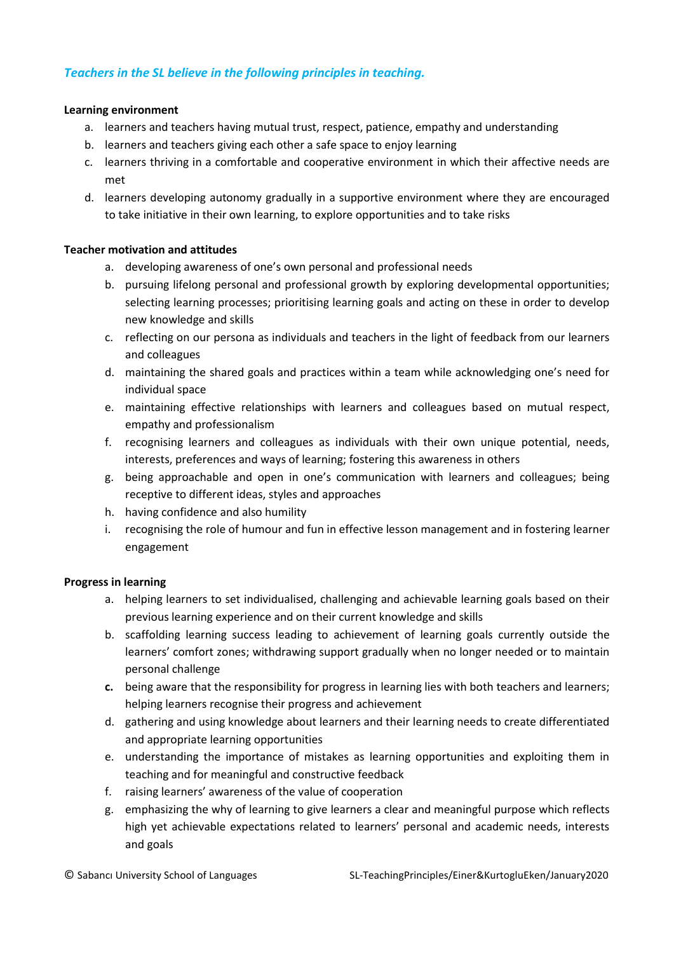### *Teachers in the SL believe in the following principles in teaching.*

#### **Learning environment**

- a. learners and teachers having mutual trust, respect, patience, empathy and understanding
- b. learners and teachers giving each other a safe space to enjoy learning
- c. learners thriving in a comfortable and cooperative environment in which their affective needs are met
- d. learners developing autonomy gradually in a supportive environment where they are encouraged to take initiative in their own learning, to explore opportunities and to take risks

### **Teacher motivation and attitudes**

- a. developing awareness of one's own personal and professional needs
- b. pursuing lifelong personal and professional growth by exploring developmental opportunities; selecting learning processes; prioritising learning goals and acting on these in order to develop new knowledge and skills
- c. reflecting on our persona as individuals and teachers in the light of feedback from our learners and colleagues
- d. maintaining the shared goals and practices within a team while acknowledging one's need for individual space
- e. maintaining effective relationships with learners and colleagues based on mutual respect, empathy and professionalism
- f. recognising learners and colleagues as individuals with their own unique potential, needs, interests, preferences and ways of learning; fostering this awareness in others
- g. being approachable and open in one's communication with learners and colleagues; being receptive to different ideas, styles and approaches
- h. having confidence and also humility
- i. recognising the role of humour and fun in effective lesson management and in fostering learner engagement

### **Progress in learning**

- a. helping learners to set individualised, challenging and achievable learning goals based on their previous learning experience and on their current knowledge and skills
- b. scaffolding learning success leading to achievement of learning goals currently outside the learners' comfort zones; withdrawing support gradually when no longer needed or to maintain personal challenge
- **c.** being aware that the responsibility for progress in learning lies with both teachers and learners; helping learners recognise their progress and achievement
- d. gathering and using knowledge about learners and their learning needs to create differentiated and appropriate learning opportunities
- e. understanding the importance of mistakes as learning opportunities and exploiting them in teaching and for meaningful and constructive feedback
- f. raising learners' awareness of the value of cooperation
- g. emphasizing the why of learning to give learners a clear and meaningful purpose which reflects high yet achievable expectations related to learners' personal and academic needs, interests and goals